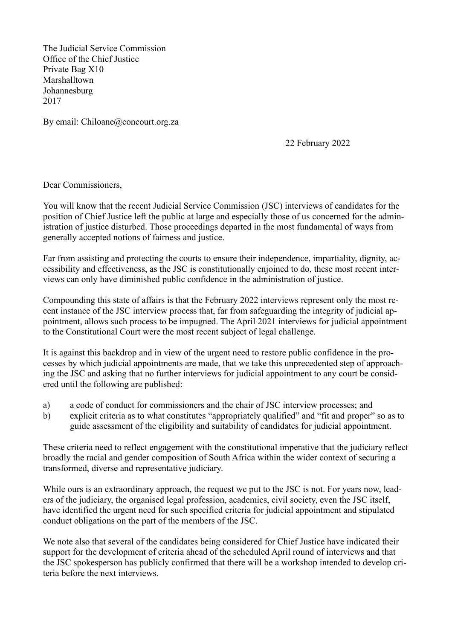The Judicial Service Commission Office of the Chief Justice Private Bag X10 Marshalltown Johannesburg 2017

By email: [Chiloane@concourt.org.za](mailto:Chiloane@concourt.org.za)

22 February 2022

Dear Commissioners,

You will know that the recent Judicial Service Commission (JSC) interviews of candidates for the position of Chief Justice left the public at large and especially those of us concerned for the administration of justice disturbed. Those proceedings departed in the most fundamental of ways from generally accepted notions of fairness and justice.

Far from assisting and protecting the courts to ensure their independence, impartiality, dignity, accessibility and effectiveness, as the JSC is constitutionally enjoined to do, these most recent interviews can only have diminished public confidence in the administration of justice.

Compounding this state of affairs is that the February 2022 interviews represent only the most recent instance of the JSC interview process that, far from safeguarding the integrity of judicial appointment, allows such process to be impugned. The April 2021 interviews for judicial appointment to the Constitutional Court were the most recent subject of legal challenge.

It is against this backdrop and in view of the urgent need to restore public confidence in the processes by which judicial appointments are made, that we take this unprecedented step of approaching the JSC and asking that no further interviews for judicial appointment to any court be considered until the following are published:

- a) a code of conduct for commissioners and the chair of JSC interview processes; and
- b) explicit criteria as to what constitutes "appropriately qualified" and "fit and proper" so as to guide assessment of the eligibility and suitability of candidates for judicial appointment.

These criteria need to reflect engagement with the constitutional imperative that the judiciary reflect broadly the racial and gender composition of South Africa within the wider context of securing a transformed, diverse and representative judiciary.

While ours is an extraordinary approach, the request we put to the JSC is not. For years now, leaders of the judiciary, the organised legal profession, academics, civil society, even the JSC itself, have identified the urgent need for such specified criteria for judicial appointment and stipulated conduct obligations on the part of the members of the JSC.

We note also that several of the candidates being considered for Chief Justice have indicated their support for the development of criteria ahead of the scheduled April round of interviews and that the JSC spokesperson has publicly confirmed that there will be a workshop intended to develop criteria before the next interviews.